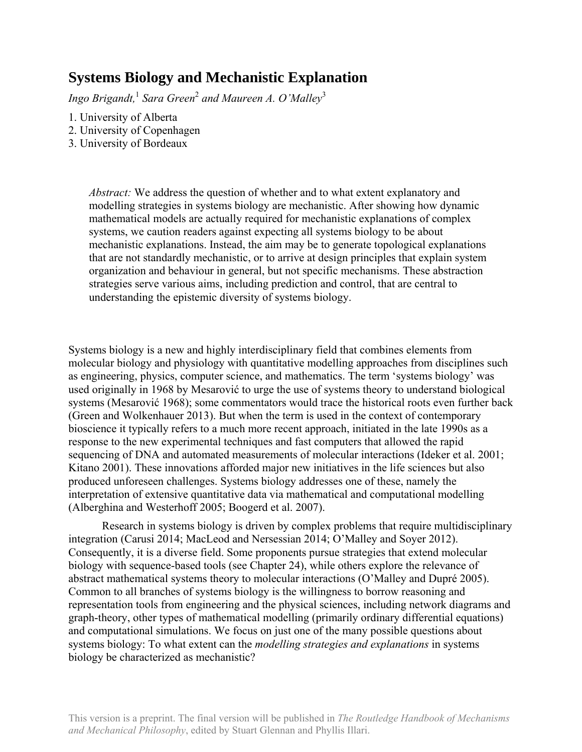# **Systems Biology and Mechanistic Explanation**

*Ingo Brigandt,*<sup>1</sup>  *Sara Green*<sup>2</sup>  *and Maureen A. O'Malley*<sup>3</sup>

- 1. University of Alberta
- 2. University of Copenhagen
- 3. University of Bordeaux

*Abstract:* We address the question of whether and to what extent explanatory and modelling strategies in systems biology are mechanistic. After showing how dynamic mathematical models are actually required for mechanistic explanations of complex systems, we caution readers against expecting all systems biology to be about mechanistic explanations. Instead, the aim may be to generate topological explanations that are not standardly mechanistic, or to arrive at design principles that explain system organization and behaviour in general, but not specific mechanisms. These abstraction strategies serve various aims, including prediction and control, that are central to understanding the epistemic diversity of systems biology.

Systems biology is a new and highly interdisciplinary field that combines elements from molecular biology and physiology with quantitative modelling approaches from disciplines such as engineering, physics, computer science, and mathematics. The term 'systems biology' was used originally in 1968 by Mesarović to urge the use of systems theory to understand biological systems (Mesarović 1968); some commentators would trace the historical roots even further back (Green and Wolkenhauer 2013). But when the term is used in the context of contemporary bioscience it typically refers to a much more recent approach, initiated in the late 1990s as a response to the new experimental techniques and fast computers that allowed the rapid sequencing of DNA and automated measurements of molecular interactions (Ideker et al. 2001; Kitano 2001). These innovations afforded major new initiatives in the life sciences but also produced unforeseen challenges. Systems biology addresses one of these, namely the interpretation of extensive quantitative data via mathematical and computational modelling (Alberghina and Westerhoff 2005; Boogerd et al. 2007).

Research in systems biology is driven by complex problems that require multidisciplinary integration (Carusi 2014; MacLeod and Nersessian 2014; O'Malley and Soyer 2012). Consequently, it is a diverse field. Some proponents pursue strategies that extend molecular biology with sequence-based tools (see Chapter 24), while others explore the relevance of abstract mathematical systems theory to molecular interactions (O'Malley and Dupré 2005). Common to all branches of systems biology is the willingness to borrow reasoning and representation tools from engineering and the physical sciences, including network diagrams and graph-theory, other types of mathematical modelling (primarily ordinary differential equations) and computational simulations. We focus on just one of the many possible questions about systems biology: To what extent can the *modelling strategies and explanations* in systems biology be characterized as mechanistic?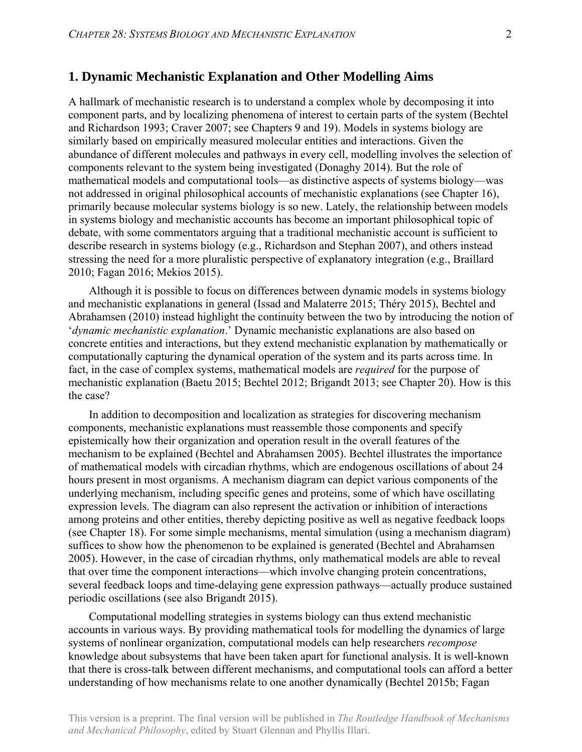### **1. Dynamic Mechanistic Explanation and Other Modelling Aims**

A hallmark of mechanistic research is to understand a complex whole by decomposing it into component parts, and by localizing phenomena of interest to certain parts of the system (Bechtel and Richardson 1993; Craver 2007; see Chapters 9 and 19). Models in systems biology are similarly based on empirically measured molecular entities and interactions. Given the abundance of different molecules and pathways in every cell, modelling involves the selection of components relevant to the system being investigated (Donaghy 2014). But the role of mathematical models and computational tools—as distinctive aspects of systems biology—was not addressed in original philosophical accounts of mechanistic explanations (see Chapter 16), primarily because molecular systems biology is so new. Lately, the relationship between models in systems biology and mechanistic accounts has become an important philosophical topic of debate, with some commentators arguing that a traditional mechanistic account is sufficient to describe research in systems biology (e.g., Richardson and Stephan 2007), and others instead stressing the need for a more pluralistic perspective of explanatory integration (e.g., Braillard 2010; Fagan 2016; Mekios 2015).

Although it is possible to focus on differences between dynamic models in systems biology and mechanistic explanations in general (Issad and Malaterre 2015; Théry 2015), Bechtel and Abrahamsen (2010) instead highlight the continuity between the two by introducing the notion of '*dynamic mechanistic explanation*.' Dynamic mechanistic explanations are also based on concrete entities and interactions, but they extend mechanistic explanation by mathematically or computationally capturing the dynamical operation of the system and its parts across time. In fact, in the case of complex systems, mathematical models are *required* for the purpose of mechanistic explanation (Baetu 2015; Bechtel 2012; Brigandt 2013; see Chapter 20). How is this the case?

In addition to decomposition and localization as strategies for discovering mechanism components, mechanistic explanations must reassemble those components and specify epistemically how their organization and operation result in the overall features of the mechanism to be explained (Bechtel and Abrahamsen 2005). Bechtel illustrates the importance of mathematical models with circadian rhythms, which are endogenous oscillations of about 24 hours present in most organisms. A mechanism diagram can depict various components of the underlying mechanism, including specific genes and proteins, some of which have oscillating expression levels. The diagram can also represent the activation or inhibition of interactions among proteins and other entities, thereby depicting positive as well as negative feedback loops (see Chapter 18). For some simple mechanisms, mental simulation (using a mechanism diagram) suffices to show how the phenomenon to be explained is generated (Bechtel and Abrahamsen 2005). However, in the case of circadian rhythms, only mathematical models are able to reveal that over time the component interactions—which involve changing protein concentrations, several feedback loops and time-delaying gene expression pathways—actually produce sustained periodic oscillations (see also Brigandt 2015).

Computational modelling strategies in systems biology can thus extend mechanistic accounts in various ways. By providing mathematical tools for modelling the dynamics of large systems of nonlinear organization, computational models can help researchers *recompose* knowledge about subsystems that have been taken apart for functional analysis. It is well-known that there is cross-talk between different mechanisms, and computational tools can afford a better understanding of how mechanisms relate to one another dynamically (Bechtel 2015b; Fagan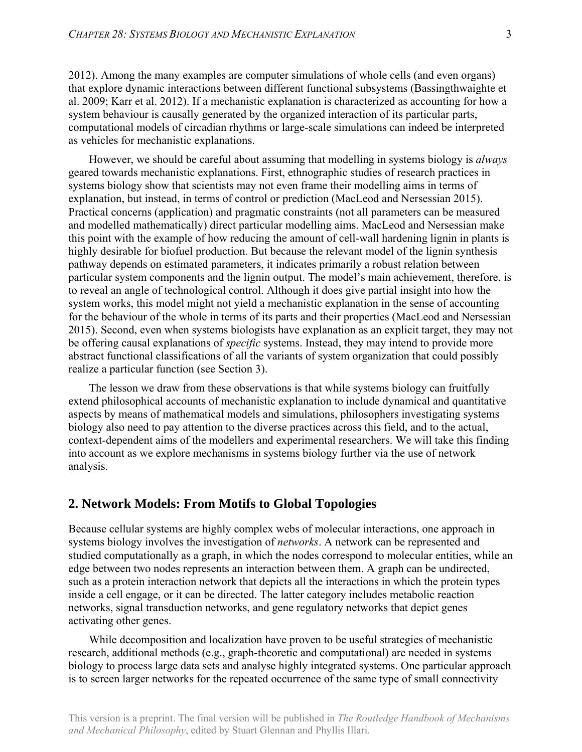2012). Among the many examples are computer simulations of whole cells (and even organs) that explore dynamic interactions between different functional subsystems (Bassingthwaighte et al. 2009; Karr et al. 2012). If a mechanistic explanation is characterized as accounting for how a system behaviour is causally generated by the organized interaction of its particular parts, computational models of circadian rhythms or large-scale simulations can indeed be interpreted as vehicles for mechanistic explanations.

However, we should be careful about assuming that modelling in systems biology is *always* geared towards mechanistic explanations. First, ethnographic studies of research practices in systems biology show that scientists may not even frame their modelling aims in terms of explanation, but instead, in terms of control or prediction (MacLeod and Nersessian 2015). Practical concerns (application) and pragmatic constraints (not all parameters can be measured and modelled mathematically) direct particular modelling aims. MacLeod and Nersessian make this point with the example of how reducing the amount of cell-wall hardening lignin in plants is highly desirable for biofuel production. But because the relevant model of the lignin synthesis pathway depends on estimated parameters, it indicates primarily a robust relation between particular system components and the lignin output. The model's main achievement, therefore, is to reveal an angle of technological control. Although it does give partial insight into how the system works, this model might not yield a mechanistic explanation in the sense of accounting for the behaviour of the whole in terms of its parts and their properties (MacLeod and Nersessian 2015). Second, even when systems biologists have explanation as an explicit target, they may not be offering causal explanations of *specific* systems. Instead, they may intend to provide more abstract functional classifications of all the variants of system organization that could possibly realize a particular function (see Section 3).

The lesson we draw from these observations is that while systems biology can fruitfully extend philosophical accounts of mechanistic explanation to include dynamical and quantitative aspects by means of mathematical models and simulations, philosophers investigating systems biology also need to pay attention to the diverse practices across this field, and to the actual, context-dependent aims of the modellers and experimental researchers. We will take this finding into account as we explore mechanisms in systems biology further via the use of network analysis.

# **2. Network Models: From Motifs to Global Topologies**

Because cellular systems are highly complex webs of molecular interactions, one approach in systems biology involves the investigation of *networks*. A network can be represented and studied computationally as a graph, in which the nodes correspond to molecular entities, while an edge between two nodes represents an interaction between them. A graph can be undirected, such as a protein interaction network that depicts all the interactions in which the protein types inside a cell engage, or it can be directed. The latter category includes metabolic reaction networks, signal transduction networks, and gene regulatory networks that depict genes activating other genes.

While decomposition and localization have proven to be useful strategies of mechanistic research, additional methods (e.g., graph-theoretic and computational) are needed in systems biology to process large data sets and analyse highly integrated systems. One particular approach is to screen larger networks for the repeated occurrence of the same type of small connectivity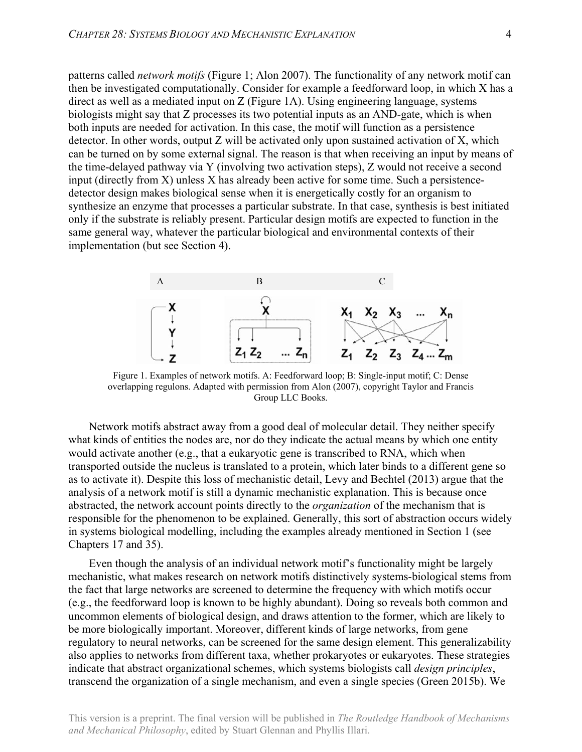patterns called *network motifs* (Figure 1; Alon 2007). The functionality of any network motif can then be investigated computationally. Consider for example a feedforward loop, in which X has a direct as well as a mediated input on Z (Figure 1A). Using engineering language, systems biologists might say that Z processes its two potential inputs as an AND-gate, which is when both inputs are needed for activation. In this case, the motif will function as a persistence detector. In other words, output Z will be activated only upon sustained activation of X, which can be turned on by some external signal. The reason is that when receiving an input by means of the time-delayed pathway via Y (involving two activation steps), Z would not receive a second input (directly from X) unless X has already been active for some time. Such a persistencedetector design makes biological sense when it is energetically costly for an organism to synthesize an enzyme that processes a particular substrate. In that case, synthesis is best initiated only if the substrate is reliably present. Particular design motifs are expected to function in the same general way, whatever the particular biological and environmental contexts of their implementation (but see Section 4).



Figure 1. Examples of network motifs. A: Feedforward loop; B: Single-input motif; C: Dense overlapping regulons. Adapted with permission from Alon (2007), copyright Taylor and Francis Group LLC Books.

Network motifs abstract away from a good deal of molecular detail. They neither specify what kinds of entities the nodes are, nor do they indicate the actual means by which one entity would activate another (e.g., that a eukaryotic gene is transcribed to RNA, which when transported outside the nucleus is translated to a protein, which later binds to a different gene so as to activate it). Despite this loss of mechanistic detail, Levy and Bechtel (2013) argue that the analysis of a network motif is still a dynamic mechanistic explanation. This is because once abstracted, the network account points directly to the *organization* of the mechanism that is responsible for the phenomenon to be explained. Generally, this sort of abstraction occurs widely in systems biological modelling, including the examples already mentioned in Section 1 (see Chapters 17 and 35).

Even though the analysis of an individual network motif's functionality might be largely mechanistic, what makes research on network motifs distinctively systems-biological stems from the fact that large networks are screened to determine the frequency with which motifs occur (e.g., the feedforward loop is known to be highly abundant). Doing so reveals both common and uncommon elements of biological design, and draws attention to the former, which are likely to be more biologically important. Moreover, different kinds of large networks, from gene regulatory to neural networks, can be screened for the same design element. This generalizability also applies to networks from different taxa, whether prokaryotes or eukaryotes. These strategies indicate that abstract organizational schemes, which systems biologists call *design principles*, transcend the organization of a single mechanism, and even a single species (Green 2015b). We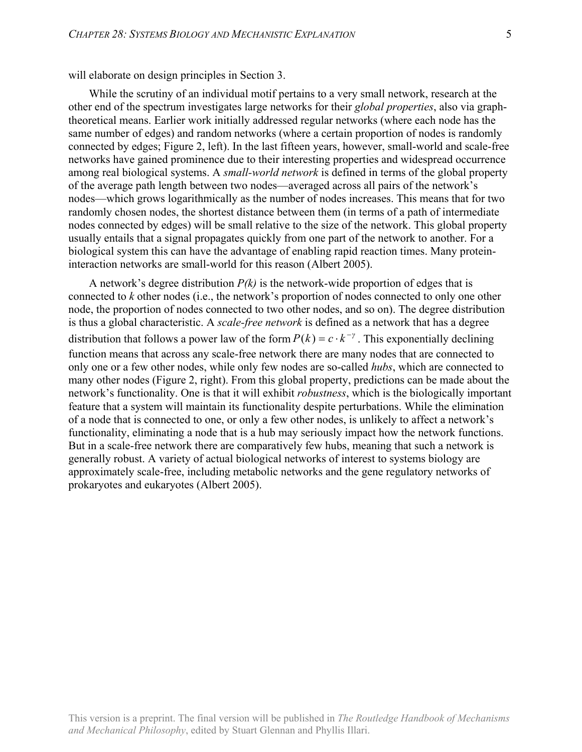will elaborate on design principles in Section 3.

While the scrutiny of an individual motif pertains to a very small network, research at the other end of the spectrum investigates large networks for their *global properties*, also via graphtheoretical means. Earlier work initially addressed regular networks (where each node has the same number of edges) and random networks (where a certain proportion of nodes is randomly connected by edges; Figure 2, left). In the last fifteen years, however, small-world and scale-free networks have gained prominence due to their interesting properties and widespread occurrence among real biological systems. A *small-world network* is defined in terms of the global property of the average path length between two nodes—averaged across all pairs of the network's nodes—which grows logarithmically as the number of nodes increases. This means that for two randomly chosen nodes, the shortest distance between them (in terms of a path of intermediate nodes connected by edges) will be small relative to the size of the network. This global property usually entails that a signal propagates quickly from one part of the network to another. For a biological system this can have the advantage of enabling rapid reaction times. Many proteininteraction networks are small-world for this reason (Albert 2005).

A network's degree distribution  $P(k)$  is the network-wide proportion of edges that is connected to *k* other nodes (i.e., the network's proportion of nodes connected to only one other node, the proportion of nodes connected to two other nodes, and so on). The degree distribution is thus a global characteristic. A *scale-free network* is defined as a network that has a degree distribution that follows a power law of the form  $P(k) = c \cdot k^{-\gamma}$ . This exponentially declining function means that across any scale-free network there are many nodes that are connected to only one or a few other nodes, while only few nodes are so-called *hubs*, which are connected to many other nodes (Figure 2, right). From this global property, predictions can be made about the network's functionality. One is that it will exhibit *robustness*, which is the biologically important feature that a system will maintain its functionality despite perturbations. While the elimination of a node that is connected to one, or only a few other nodes, is unlikely to affect a network's functionality, eliminating a node that is a hub may seriously impact how the network functions. But in a scale-free network there are comparatively few hubs, meaning that such a network is generally robust. A variety of actual biological networks of interest to systems biology are approximately scale-free, including metabolic networks and the gene regulatory networks of prokaryotes and eukaryotes (Albert 2005).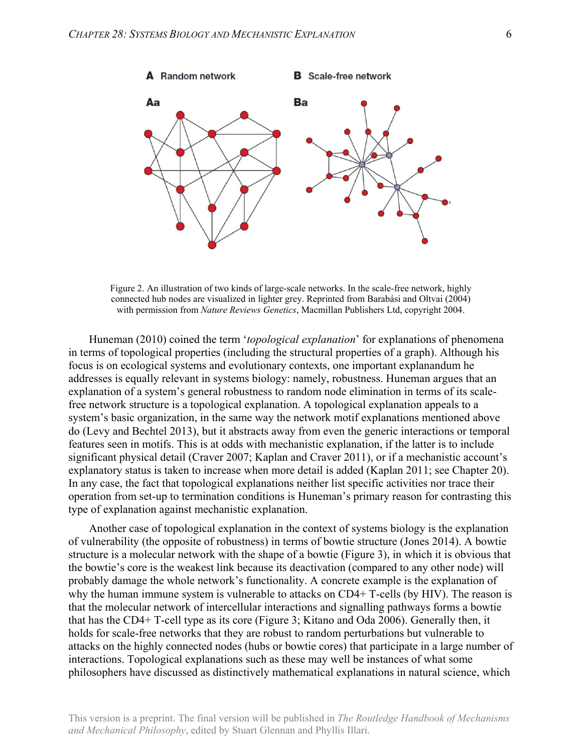

Figure 2. An illustration of two kinds of large-scale networks. In the scale-free network, highly connected hub nodes are visualized in lighter grey. Reprinted from Barabási and Oltvai (2004) with permission from *Nature Reviews Genetics*, Macmillan Publishers Ltd, copyright 2004.

Huneman (2010) coined the term '*topological explanation*' for explanations of phenomena in terms of topological properties (including the structural properties of a graph). Although his focus is on ecological systems and evolutionary contexts, one important explanandum he addresses is equally relevant in systems biology: namely, robustness. Huneman argues that an explanation of a system's general robustness to random node elimination in terms of its scalefree network structure is a topological explanation. A topological explanation appeals to a system's basic organization, in the same way the network motif explanations mentioned above do (Levy and Bechtel 2013), but it abstracts away from even the generic interactions or temporal features seen in motifs. This is at odds with mechanistic explanation, if the latter is to include significant physical detail (Craver 2007; Kaplan and Craver 2011), or if a mechanistic account's explanatory status is taken to increase when more detail is added (Kaplan 2011; see Chapter 20). In any case, the fact that topological explanations neither list specific activities nor trace their operation from set-up to termination conditions is Huneman's primary reason for contrasting this type of explanation against mechanistic explanation.

Another case of topological explanation in the context of systems biology is the explanation of vulnerability (the opposite of robustness) in terms of bowtie structure (Jones 2014). A bowtie structure is a molecular network with the shape of a bowtie (Figure 3), in which it is obvious that the bowtie's core is the weakest link because its deactivation (compared to any other node) will probably damage the whole network's functionality. A concrete example is the explanation of why the human immune system is vulnerable to attacks on CD4+ T-cells (by HIV). The reason is that the molecular network of intercellular interactions and signalling pathways forms a bowtie that has the CD4+ T-cell type as its core (Figure 3; Kitano and Oda 2006). Generally then, it holds for scale-free networks that they are robust to random perturbations but vulnerable to attacks on the highly connected nodes (hubs or bowtie cores) that participate in a large number of interactions. Topological explanations such as these may well be instances of what some philosophers have discussed as distinctively mathematical explanations in natural science, which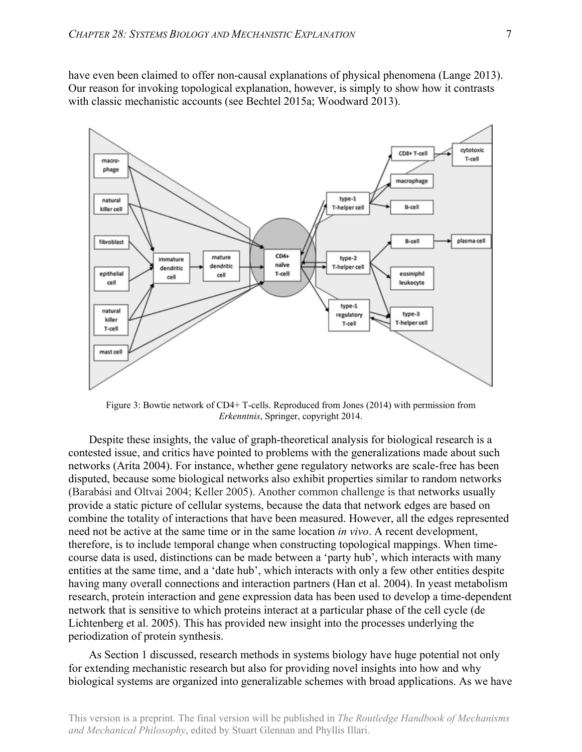have even been claimed to offer non-causal explanations of physical phenomena (Lange 2013). Our reason for invoking topological explanation, however, is simply to show how it contrasts with classic mechanistic accounts (see Bechtel 2015a; Woodward 2013).



Figure 3: Bowtie network of CD4+ T-cells. Reproduced from Jones (2014) with permission from *Erkenntnis*, Springer, copyright 2014.

Despite these insights, the value of graph-theoretical analysis for biological research is a contested issue, and critics have pointed to problems with the generalizations made about such networks (Arita 2004). For instance, whether gene regulatory networks are scale-free has been disputed, because some biological networks also exhibit properties similar to random networks (Barabási and Oltvai 2004; Keller 2005). Another common challenge is that networks usually provide a static picture of cellular systems, because the data that network edges are based on combine the totality of interactions that have been measured. However, all the edges represented need not be active at the same time or in the same location *in vivo*. A recent development, therefore, is to include temporal change when constructing topological mappings. When timecourse data is used, distinctions can be made between a 'party hub', which interacts with many entities at the same time, and a 'date hub', which interacts with only a few other entities despite having many overall connections and interaction partners (Han et al. 2004). In yeast metabolism research, protein interaction and gene expression data has been used to develop a time-dependent network that is sensitive to which proteins interact at a particular phase of the cell cycle (de Lichtenberg et al. 2005). This has provided new insight into the processes underlying the periodization of protein synthesis.

As Section 1 discussed, research methods in systems biology have huge potential not only for extending mechanistic research but also for providing novel insights into how and why biological systems are organized into generalizable schemes with broad applications. As we have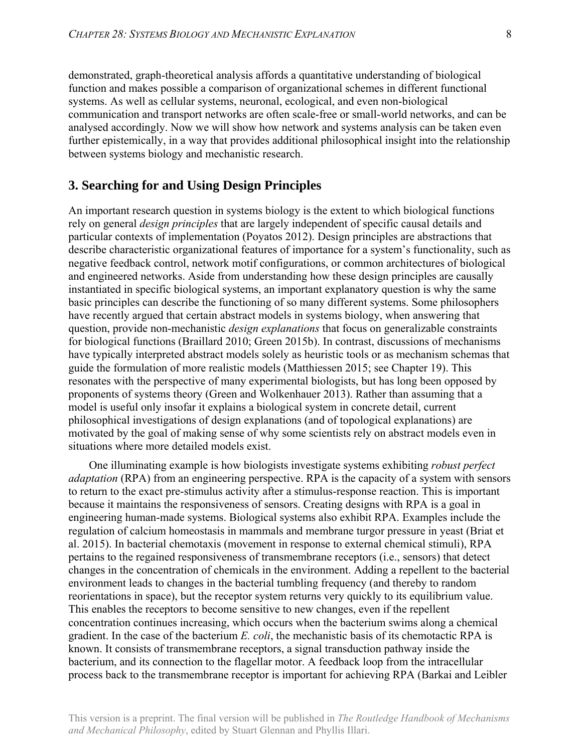demonstrated, graph-theoretical analysis affords a quantitative understanding of biological function and makes possible a comparison of organizational schemes in different functional systems. As well as cellular systems, neuronal, ecological, and even non-biological communication and transport networks are often scale-free or small-world networks, and can be analysed accordingly. Now we will show how network and systems analysis can be taken even further epistemically, in a way that provides additional philosophical insight into the relationship between systems biology and mechanistic research.

# **3. Searching for and Using Design Principles**

An important research question in systems biology is the extent to which biological functions rely on general *design principles* that are largely independent of specific causal details and particular contexts of implementation (Poyatos 2012). Design principles are abstractions that describe characteristic organizational features of importance for a system's functionality, such as negative feedback control, network motif configurations, or common architectures of biological and engineered networks. Aside from understanding how these design principles are causally instantiated in specific biological systems, an important explanatory question is why the same basic principles can describe the functioning of so many different systems. Some philosophers have recently argued that certain abstract models in systems biology, when answering that question, provide non-mechanistic *design explanations* that focus on generalizable constraints for biological functions (Braillard 2010; Green 2015b). In contrast, discussions of mechanisms have typically interpreted abstract models solely as heuristic tools or as mechanism schemas that guide the formulation of more realistic models (Matthiessen 2015; see Chapter 19). This resonates with the perspective of many experimental biologists, but has long been opposed by proponents of systems theory (Green and Wolkenhauer 2013). Rather than assuming that a model is useful only insofar it explains a biological system in concrete detail, current philosophical investigations of design explanations (and of topological explanations) are motivated by the goal of making sense of why some scientists rely on abstract models even in situations where more detailed models exist.

One illuminating example is how biologists investigate systems exhibiting *robust perfect adaptation* (RPA) from an engineering perspective. RPA is the capacity of a system with sensors to return to the exact pre-stimulus activity after a stimulus-response reaction. This is important because it maintains the responsiveness of sensors. Creating designs with RPA is a goal in engineering human-made systems. Biological systems also exhibit RPA. Examples include the regulation of calcium homeostasis in mammals and membrane turgor pressure in yeast (Briat et al. 2015). In bacterial chemotaxis (movement in response to external chemical stimuli), RPA pertains to the regained responsiveness of transmembrane receptors (i.e., sensors) that detect changes in the concentration of chemicals in the environment. Adding a repellent to the bacterial environment leads to changes in the bacterial tumbling frequency (and thereby to random reorientations in space), but the receptor system returns very quickly to its equilibrium value. This enables the receptors to become sensitive to new changes, even if the repellent concentration continues increasing, which occurs when the bacterium swims along a chemical gradient. In the case of the bacterium *E. coli*, the mechanistic basis of its chemotactic RPA is known. It consists of transmembrane receptors, a signal transduction pathway inside the bacterium, and its connection to the flagellar motor. A feedback loop from the intracellular process back to the transmembrane receptor is important for achieving RPA (Barkai and Leibler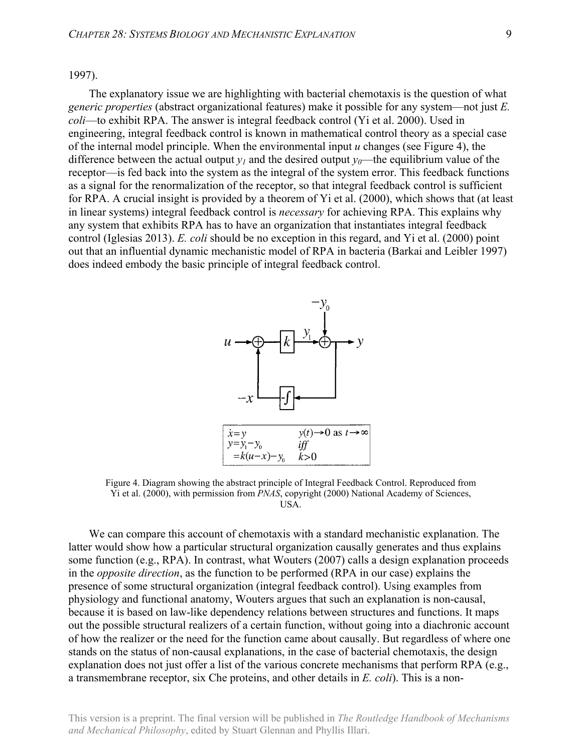#### 1997).

The explanatory issue we are highlighting with bacterial chemotaxis is the question of what *generic properties* (abstract organizational features) make it possible for any system—not just *E. coli*—to exhibit RPA. The answer is integral feedback control (Yi et al. 2000). Used in engineering, integral feedback control is known in mathematical control theory as a special case of the internal model principle. When the environmental input *u* changes (see Figure 4), the difference between the actual output  $y_l$  and the desired output  $y_0$ —the equilibrium value of the receptor—is fed back into the system as the integral of the system error. This feedback functions as a signal for the renormalization of the receptor, so that integral feedback control is sufficient for RPA. A crucial insight is provided by a theorem of Yi et al. (2000), which shows that (at least in linear systems) integral feedback control is *necessary* for achieving RPA. This explains why any system that exhibits RPA has to have an organization that instantiates integral feedback control (Iglesias 2013). *E. coli* should be no exception in this regard, and Yi et al. (2000) point out that an influential dynamic mechanistic model of RPA in bacteria (Barkai and Leibler 1997) does indeed embody the basic principle of integral feedback control.



Figure 4. Diagram showing the abstract principle of Integral Feedback Control. Reproduced from Yi et al. (2000), with permission from *PNAS*, copyright (2000) National Academy of Sciences, USA.

We can compare this account of chemotaxis with a standard mechanistic explanation. The latter would show how a particular structural organization causally generates and thus explains some function (e.g., RPA). In contrast, what Wouters (2007) calls a design explanation proceeds in the *opposite direction*, as the function to be performed (RPA in our case) explains the presence of some structural organization (integral feedback control). Using examples from physiology and functional anatomy, Wouters argues that such an explanation is non-causal, because it is based on law-like dependency relations between structures and functions. It maps out the possible structural realizers of a certain function, without going into a diachronic account of how the realizer or the need for the function came about causally. But regardless of where one stands on the status of non-causal explanations, in the case of bacterial chemotaxis, the design explanation does not just offer a list of the various concrete mechanisms that perform RPA (e.g., a transmembrane receptor, six Che proteins, and other details in *E. coli*). This is a non-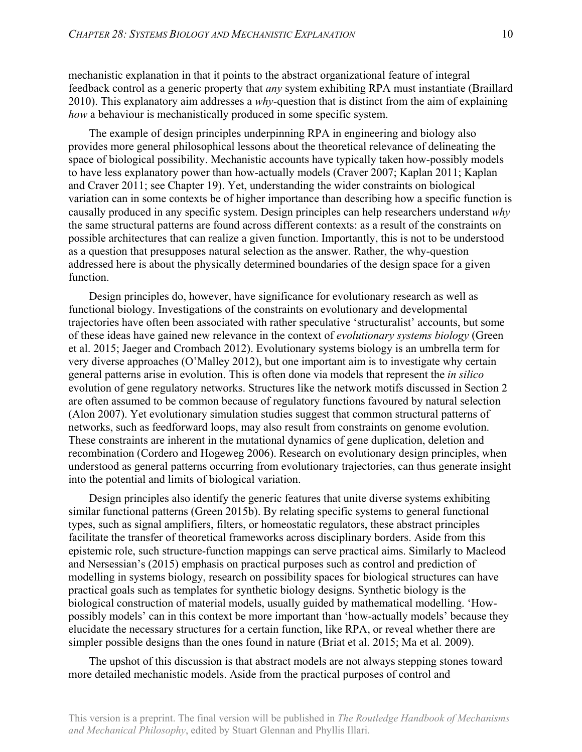mechanistic explanation in that it points to the abstract organizational feature of integral feedback control as a generic property that *any* system exhibiting RPA must instantiate (Braillard 2010). This explanatory aim addresses a *why*-question that is distinct from the aim of explaining *how* a behaviour is mechanistically produced in some specific system.

The example of design principles underpinning RPA in engineering and biology also provides more general philosophical lessons about the theoretical relevance of delineating the space of biological possibility. Mechanistic accounts have typically taken how-possibly models to have less explanatory power than how-actually models (Craver 2007; Kaplan 2011; Kaplan and Craver 2011; see Chapter 19). Yet, understanding the wider constraints on biological variation can in some contexts be of higher importance than describing how a specific function is causally produced in any specific system. Design principles can help researchers understand *why* the same structural patterns are found across different contexts: as a result of the constraints on possible architectures that can realize a given function. Importantly, this is not to be understood as a question that presupposes natural selection as the answer. Rather, the why-question addressed here is about the physically determined boundaries of the design space for a given function.

Design principles do, however, have significance for evolutionary research as well as functional biology. Investigations of the constraints on evolutionary and developmental trajectories have often been associated with rather speculative 'structuralist' accounts, but some of these ideas have gained new relevance in the context of *evolutionary systems biology* (Green et al. 2015; Jaeger and Crombach 2012). Evolutionary systems biology is an umbrella term for very diverse approaches (O'Malley 2012), but one important aim is to investigate why certain general patterns arise in evolution. This is often done via models that represent the *in silico* evolution of gene regulatory networks. Structures like the network motifs discussed in Section 2 are often assumed to be common because of regulatory functions favoured by natural selection (Alon 2007). Yet evolutionary simulation studies suggest that common structural patterns of networks, such as feedforward loops, may also result from constraints on genome evolution. These constraints are inherent in the mutational dynamics of gene duplication, deletion and recombination (Cordero and Hogeweg 2006). Research on evolutionary design principles, when understood as general patterns occurring from evolutionary trajectories, can thus generate insight into the potential and limits of biological variation.

Design principles also identify the generic features that unite diverse systems exhibiting similar functional patterns (Green 2015b). By relating specific systems to general functional types, such as signal amplifiers, filters, or homeostatic regulators, these abstract principles facilitate the transfer of theoretical frameworks across disciplinary borders. Aside from this epistemic role, such structure-function mappings can serve practical aims. Similarly to Macleod and Nersessian's (2015) emphasis on practical purposes such as control and prediction of modelling in systems biology, research on possibility spaces for biological structures can have practical goals such as templates for synthetic biology designs. Synthetic biology is the biological construction of material models, usually guided by mathematical modelling. 'Howpossibly models' can in this context be more important than 'how-actually models' because they elucidate the necessary structures for a certain function, like RPA, or reveal whether there are simpler possible designs than the ones found in nature (Briat et al. 2015; Ma et al. 2009).

The upshot of this discussion is that abstract models are not always stepping stones toward more detailed mechanistic models. Aside from the practical purposes of control and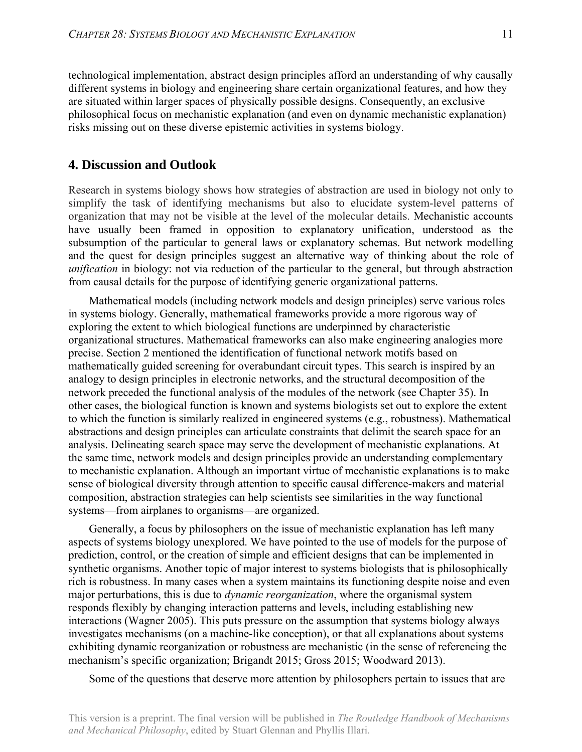technological implementation, abstract design principles afford an understanding of why causally different systems in biology and engineering share certain organizational features, and how they are situated within larger spaces of physically possible designs. Consequently, an exclusive philosophical focus on mechanistic explanation (and even on dynamic mechanistic explanation) risks missing out on these diverse epistemic activities in systems biology.

## **4. Discussion and Outlook**

Research in systems biology shows how strategies of abstraction are used in biology not only to simplify the task of identifying mechanisms but also to elucidate system-level patterns of organization that may not be visible at the level of the molecular details. Mechanistic accounts have usually been framed in opposition to explanatory unification, understood as the subsumption of the particular to general laws or explanatory schemas. But network modelling and the quest for design principles suggest an alternative way of thinking about the role of *unification* in biology: not via reduction of the particular to the general, but through abstraction from causal details for the purpose of identifying generic organizational patterns.

Mathematical models (including network models and design principles) serve various roles in systems biology. Generally, mathematical frameworks provide a more rigorous way of exploring the extent to which biological functions are underpinned by characteristic organizational structures. Mathematical frameworks can also make engineering analogies more precise. Section 2 mentioned the identification of functional network motifs based on mathematically guided screening for overabundant circuit types. This search is inspired by an analogy to design principles in electronic networks, and the structural decomposition of the network preceded the functional analysis of the modules of the network (see Chapter 35). In other cases, the biological function is known and systems biologists set out to explore the extent to which the function is similarly realized in engineered systems (e.g., robustness). Mathematical abstractions and design principles can articulate constraints that delimit the search space for an analysis. Delineating search space may serve the development of mechanistic explanations. At the same time, network models and design principles provide an understanding complementary to mechanistic explanation. Although an important virtue of mechanistic explanations is to make sense of biological diversity through attention to specific causal difference-makers and material composition, abstraction strategies can help scientists see similarities in the way functional systems—from airplanes to organisms—are organized.

Generally, a focus by philosophers on the issue of mechanistic explanation has left many aspects of systems biology unexplored. We have pointed to the use of models for the purpose of prediction, control, or the creation of simple and efficient designs that can be implemented in synthetic organisms. Another topic of major interest to systems biologists that is philosophically rich is robustness. In many cases when a system maintains its functioning despite noise and even major perturbations, this is due to *dynamic reorganization*, where the organismal system responds flexibly by changing interaction patterns and levels, including establishing new interactions (Wagner 2005). This puts pressure on the assumption that systems biology always investigates mechanisms (on a machine-like conception), or that all explanations about systems exhibiting dynamic reorganization or robustness are mechanistic (in the sense of referencing the mechanism's specific organization; Brigandt 2015; Gross 2015; Woodward 2013).

Some of the questions that deserve more attention by philosophers pertain to issues that are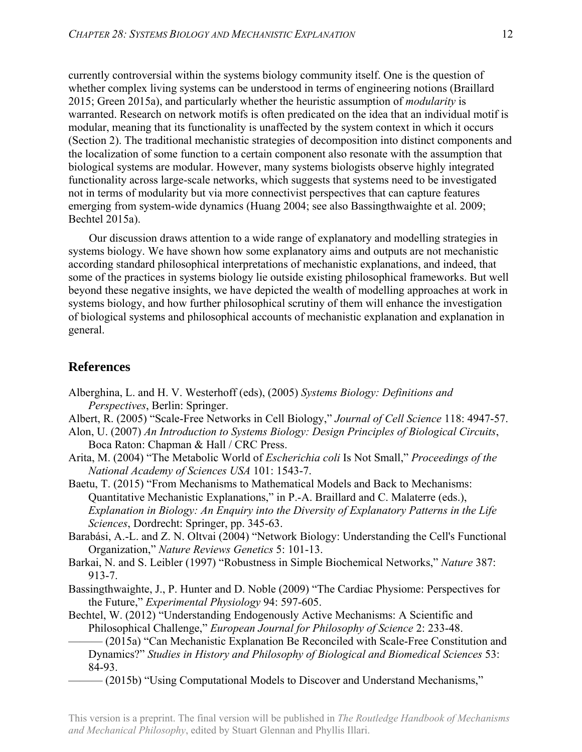currently controversial within the systems biology community itself. One is the question of whether complex living systems can be understood in terms of engineering notions (Braillard 2015; Green 2015a), and particularly whether the heuristic assumption of *modularity* is warranted. Research on network motifs is often predicated on the idea that an individual motif is modular, meaning that its functionality is unaffected by the system context in which it occurs (Section 2). The traditional mechanistic strategies of decomposition into distinct components and the localization of some function to a certain component also resonate with the assumption that biological systems are modular. However, many systems biologists observe highly integrated functionality across large-scale networks, which suggests that systems need to be investigated not in terms of modularity but via more connectivist perspectives that can capture features emerging from system-wide dynamics (Huang 2004; see also Bassingthwaighte et al. 2009; Bechtel 2015a).

Our discussion draws attention to a wide range of explanatory and modelling strategies in systems biology. We have shown how some explanatory aims and outputs are not mechanistic according standard philosophical interpretations of mechanistic explanations, and indeed, that some of the practices in systems biology lie outside existing philosophical frameworks. But well beyond these negative insights, we have depicted the wealth of modelling approaches at work in systems biology, and how further philosophical scrutiny of them will enhance the investigation of biological systems and philosophical accounts of mechanistic explanation and explanation in general.

# **References**

- Alberghina, L. and H. V. Westerhoff (eds), (2005) *Systems Biology: Definitions and Perspectives*, Berlin: Springer.
- Albert, R. (2005) "Scale-Free Networks in Cell Biology," *Journal of Cell Science* 118: 4947-57.
- Alon, U. (2007) *An Introduction to Systems Biology: Design Principles of Biological Circuits*, Boca Raton: Chapman & Hall / CRC Press.
- Arita, M. (2004) "The Metabolic World of *Escherichia coli* Is Not Small," *Proceedings of the National Academy of Sciences USA* 101: 1543-7.
- Baetu, T. (2015) "From Mechanisms to Mathematical Models and Back to Mechanisms: Quantitative Mechanistic Explanations," in P.-A. Braillard and C. Malaterre (eds.), *Explanation in Biology: An Enquiry into the Diversity of Explanatory Patterns in the Life Sciences*, Dordrecht: Springer, pp. 345-63.
- Barabási, A.-L. and Z. N. Oltvai (2004) "Network Biology: Understanding the Cell's Functional Organization," *Nature Reviews Genetics* 5: 101-13.
- Barkai, N. and S. Leibler (1997) "Robustness in Simple Biochemical Networks," *Nature* 387: 913-7.
- Bassingthwaighte, J., P. Hunter and D. Noble (2009) "The Cardiac Physiome: Perspectives for the Future," *Experimental Physiology* 94: 597-605.
- Bechtel, W. (2012) "Understanding Endogenously Active Mechanisms: A Scientific and Philosophical Challenge," *European Journal for Philosophy of Science* 2: 233-48.
	- ——— (2015a) "Can Mechanistic Explanation Be Reconciled with Scale-Free Constitution and Dynamics?" *Studies in History and Philosophy of Biological and Biomedical Sciences* 53: 84-93.
	- ——— (2015b) "Using Computational Models to Discover and Understand Mechanisms,"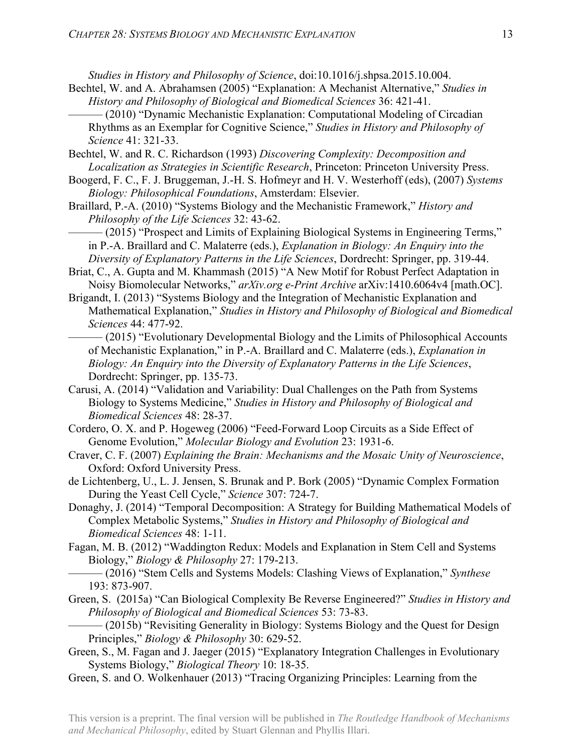*Studies in History and Philosophy of Science*, doi:10.1016/j.shpsa.2015.10.004.

- Bechtel, W. and A. Abrahamsen (2005) "Explanation: A Mechanist Alternative," *Studies in History and Philosophy of Biological and Biomedical Sciences* 36: 421-41.
	- (2010) "Dynamic Mechanistic Explanation: Computational Modeling of Circadian Rhythms as an Exemplar for Cognitive Science," *Studies in History and Philosophy of Science* 41: 321-33.
- Bechtel, W. and R. C. Richardson (1993) *Discovering Complexity: Decomposition and Localization as Strategies in Scientific Research*, Princeton: Princeton University Press.
- Boogerd, F. C., F. J. Bruggeman, J.-H. S. Hofmeyr and H. V. Westerhoff (eds), (2007) *Systems Biology: Philosophical Foundations*, Amsterdam: Elsevier.
- Braillard, P.-A. (2010) "Systems Biology and the Mechanistic Framework," *History and Philosophy of the Life Sciences* 32: 43-62.
	- $-$  (2015) "Prospect and Limits of Explaining Biological Systems in Engineering Terms," in P.-A. Braillard and C. Malaterre (eds.), *Explanation in Biology: An Enquiry into the Diversity of Explanatory Patterns in the Life Sciences*, Dordrecht: Springer, pp. 319-44.
- Briat, C., A. Gupta and M. Khammash (2015) "A New Motif for Robust Perfect Adaptation in Noisy Biomolecular Networks," *arXiv.org e-Print Archive* arXiv:1410.6064v4 [math.OC].
- Brigandt, I. (2013) "Systems Biology and the Integration of Mechanistic Explanation and Mathematical Explanation," *Studies in History and Philosophy of Biological and Biomedical Sciences* 44: 477-92.
	- (2015) "Evolutionary Developmental Biology and the Limits of Philosophical Accounts of Mechanistic Explanation," in P.-A. Braillard and C. Malaterre (eds.), *Explanation in Biology: An Enquiry into the Diversity of Explanatory Patterns in the Life Sciences*, Dordrecht: Springer, pp. 135-73.
- Carusi, A. (2014) "Validation and Variability: Dual Challenges on the Path from Systems Biology to Systems Medicine," *Studies in History and Philosophy of Biological and Biomedical Sciences* 48: 28-37.
- Cordero, O. X. and P. Hogeweg (2006) "Feed-Forward Loop Circuits as a Side Effect of Genome Evolution," *Molecular Biology and Evolution* 23: 1931-6.
- Craver, C. F. (2007) *Explaining the Brain: Mechanisms and the Mosaic Unity of Neuroscience*, Oxford: Oxford University Press.
- de Lichtenberg, U., L. J. Jensen, S. Brunak and P. Bork (2005) "Dynamic Complex Formation During the Yeast Cell Cycle," *Science* 307: 724-7.
- Donaghy, J. (2014) "Temporal Decomposition: A Strategy for Building Mathematical Models of Complex Metabolic Systems," *Studies in History and Philosophy of Biological and Biomedical Sciences* 48: 1-11.
- Fagan, M. B. (2012) "Waddington Redux: Models and Explanation in Stem Cell and Systems Biology," *Biology & Philosophy* 27: 179-213.
	- ——— (2016) "Stem Cells and Systems Models: Clashing Views of Explanation," *Synthese* 193: 873-907.
- Green, S. (2015a) "Can Biological Complexity Be Reverse Engineered?" *Studies in History and Philosophy of Biological and Biomedical Sciences* 53: 73-83.
	- —— (2015b) "Revisiting Generality in Biology: Systems Biology and the Quest for Design Principles," *Biology & Philosophy* 30: 629-52.
- Green, S., M. Fagan and J. Jaeger (2015) "Explanatory Integration Challenges in Evolutionary Systems Biology," *Biological Theory* 10: 18-35.
- Green, S. and O. Wolkenhauer (2013) "Tracing Organizing Principles: Learning from the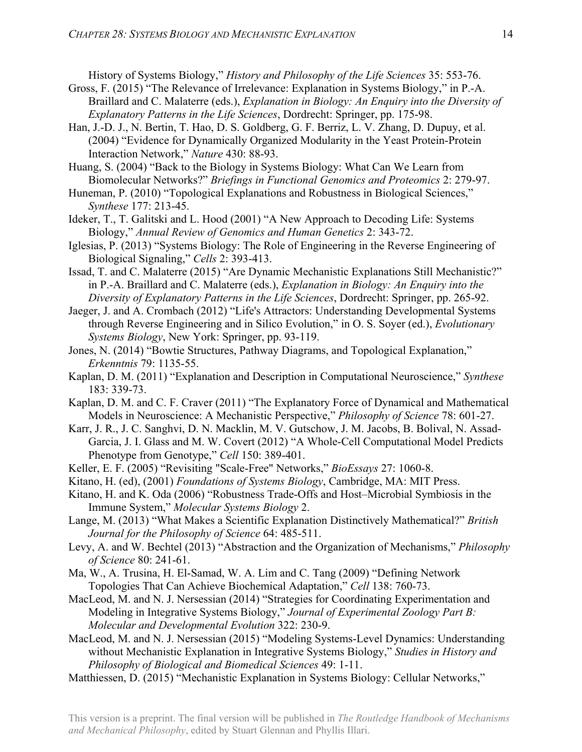History of Systems Biology," *History and Philosophy of the Life Sciences* 35: 553-76.

- Gross, F. (2015) "The Relevance of Irrelevance: Explanation in Systems Biology," in P.-A. Braillard and C. Malaterre (eds.), *Explanation in Biology: An Enquiry into the Diversity of Explanatory Patterns in the Life Sciences*, Dordrecht: Springer, pp. 175-98.
- Han, J.-D. J., N. Bertin, T. Hao, D. S. Goldberg, G. F. Berriz, L. V. Zhang, D. Dupuy, et al. (2004) "Evidence for Dynamically Organized Modularity in the Yeast Protein-Protein Interaction Network," *Nature* 430: 88-93.
- Huang, S. (2004) "Back to the Biology in Systems Biology: What Can We Learn from Biomolecular Networks?" *Briefings in Functional Genomics and Proteomics* 2: 279-97.
- Huneman, P. (2010) "Topological Explanations and Robustness in Biological Sciences," *Synthese* 177: 213-45.
- Ideker, T., T. Galitski and L. Hood (2001) "A New Approach to Decoding Life: Systems Biology," *Annual Review of Genomics and Human Genetics* 2: 343-72.
- Iglesias, P. (2013) "Systems Biology: The Role of Engineering in the Reverse Engineering of Biological Signaling," *Cells* 2: 393-413.
- Issad, T. and C. Malaterre (2015) "Are Dynamic Mechanistic Explanations Still Mechanistic?" in P.-A. Braillard and C. Malaterre (eds.), *Explanation in Biology: An Enquiry into the Diversity of Explanatory Patterns in the Life Sciences*, Dordrecht: Springer, pp. 265-92.
- Jaeger, J. and A. Crombach (2012) "Life's Attractors: Understanding Developmental Systems through Reverse Engineering and in Silico Evolution," in O. S. Soyer (ed.), *Evolutionary Systems Biology*, New York: Springer, pp. 93-119.
- Jones, N. (2014) "Bowtie Structures, Pathway Diagrams, and Topological Explanation," *Erkenntnis* 79: 1135-55.
- Kaplan, D. M. (2011) "Explanation and Description in Computational Neuroscience," *Synthese* 183: 339-73.
- Kaplan, D. M. and C. F. Craver (2011) "The Explanatory Force of Dynamical and Mathematical Models in Neuroscience: A Mechanistic Perspective," *Philosophy of Science* 78: 601-27.
- Karr, J. R., J. C. Sanghvi, D. N. Macklin, M. V. Gutschow, J. M. Jacobs, B. Bolival, N. Assad-Garcia, J. I. Glass and M. W. Covert (2012) "A Whole-Cell Computational Model Predicts Phenotype from Genotype," *Cell* 150: 389-401.
- Keller, E. F. (2005) "Revisiting "Scale-Free" Networks," *BioEssays* 27: 1060-8.
- Kitano, H. (ed), (2001) *Foundations of Systems Biology*, Cambridge, MA: MIT Press.
- Kitano, H. and K. Oda (2006) "Robustness Trade-Offs and Host–Microbial Symbiosis in the Immune System," *Molecular Systems Biology* 2.
- Lange, M. (2013) "What Makes a Scientific Explanation Distinctively Mathematical?" *British Journal for the Philosophy of Science* 64: 485-511.
- Levy, A. and W. Bechtel (2013) "Abstraction and the Organization of Mechanisms," *Philosophy of Science* 80: 241-61.
- Ma, W., A. Trusina, H. El-Samad, W. A. Lim and C. Tang (2009) "Defining Network Topologies That Can Achieve Biochemical Adaptation," *Cell* 138: 760-73.
- MacLeod, M. and N. J. Nersessian (2014) "Strategies for Coordinating Experimentation and Modeling in Integrative Systems Biology," *Journal of Experimental Zoology Part B: Molecular and Developmental Evolution* 322: 230-9.
- MacLeod, M. and N. J. Nersessian (2015) "Modeling Systems-Level Dynamics: Understanding without Mechanistic Explanation in Integrative Systems Biology," *Studies in History and Philosophy of Biological and Biomedical Sciences* 49: 1-11.
- Matthiessen, D. (2015) "Mechanistic Explanation in Systems Biology: Cellular Networks,"